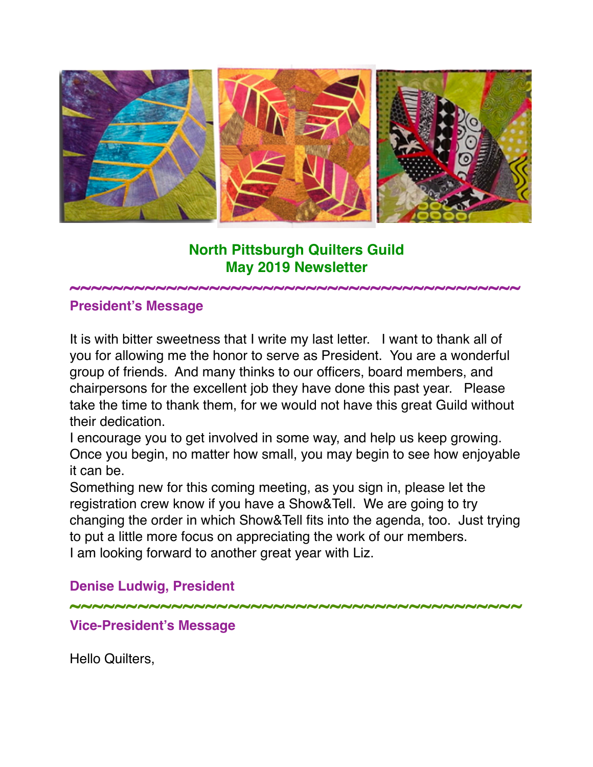

# **North Pittsburgh Quilters Guild May 2019 Newsletter**

**~~~~~~~~~~~~~~~~~~~~~~~~~~~~~~~~~~~~~~~~~~**

#### **President's Message**

It is with bitter sweetness that I write my last letter. I want to thank all of you for allowing me the honor to serve as President. You are a wonderful group of friends. And many thinks to our officers, board members, and chairpersons for the excellent job they have done this past year. Please take the time to thank them, for we would not have this great Guild without their dedication.

I encourage you to get involved in some way, and help us keep growing. Once you begin, no matter how small, you may begin to see how enjoyable it can be.

Something new for this coming meeting, as you sign in, please let the registration crew know if you have a Show&Tell. We are going to try changing the order in which Show&Tell fits into the agenda, too. Just trying to put a little more focus on appreciating the work of our members. I am looking forward to another great year with Liz.

## **Denise Ludwig, President**

**~~~~~~~~~~~~~~~~~~~~~~~~~~~~~~~~~~~~~~~~**

#### **Vice-President's Message**

Hello Quilters,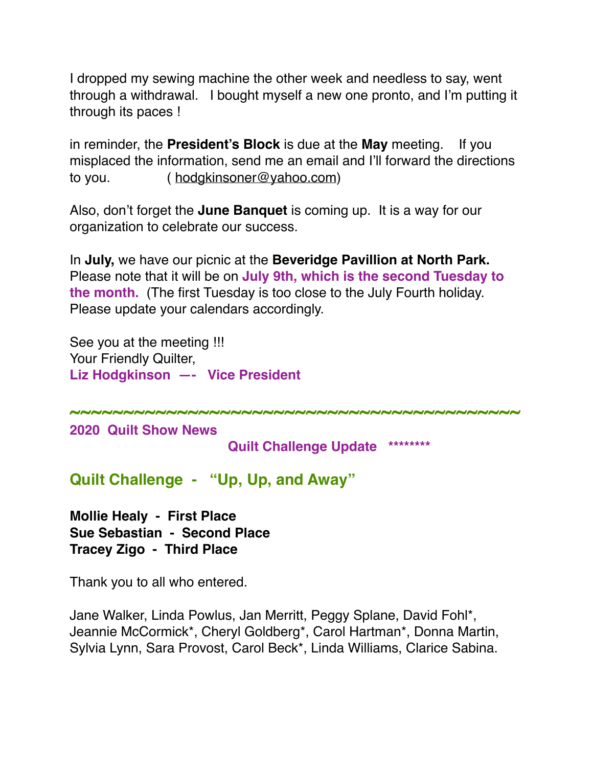I dropped my sewing machine the other week and needless to say, went through a withdrawal. I bought myself a new one pronto, and I'm putting it through its paces !

in reminder, the **President's Block** is due at the **May** meeting. If you misplaced the information, send me an email and I'll forward the directions to you. ( [hodgkinsoner@yahoo.com\)](mailto:hodgkinsoner@yahoo.com)

Also, don't forget the **June Banquet** is coming up. It is a way for our organization to celebrate our success.

In **July,** we have our picnic at the **Beveridge Pavillion at North Park.** Please note that it will be on **July 9th, which is the second Tuesday to the month.** (The first Tuesday is too close to the July Fourth holiday. Please update your calendars accordingly.

**~~~~~~~~~~~~~~~~~~~~~~~~~~~~~~~~~~~~~~~~~~**

See you at the meeting !!! Your Friendly Quilter, **Liz Hodgkinson —- Vice President**

**2020 Quilt Show News**

 **Quilt Challenge Update \*\*\*\*\*\*\*\***

**Quilt Challenge - "Up, Up, and Away"**

**Mollie Healy - First Place Sue Sebastian - Second Place Tracey Zigo - Third Place**

Thank you to all who entered.

Jane Walker, Linda Powlus, Jan Merritt, Peggy Splane, David Fohl\*, Jeannie McCormick\*, Cheryl Goldberg\*, Carol Hartman\*, Donna Martin, Sylvia Lynn, Sara Provost, Carol Beck\*, Linda Williams, Clarice Sabina.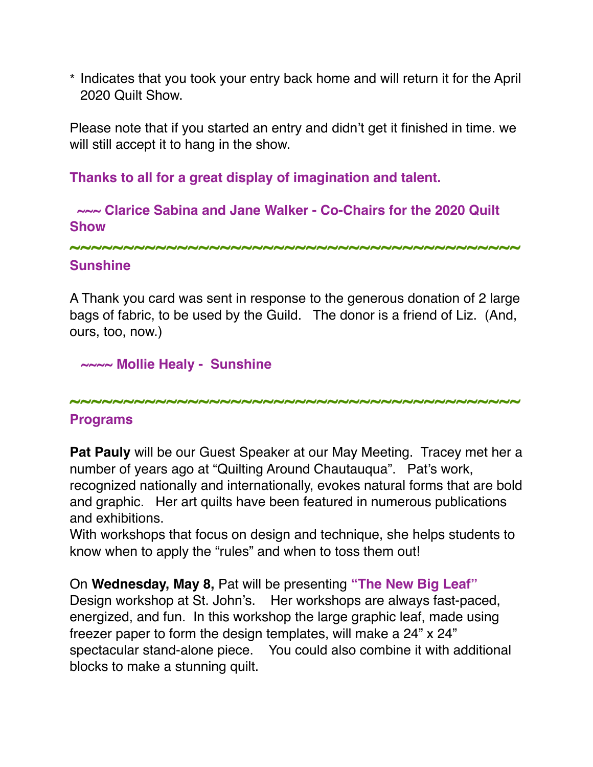\* Indicates that you took your entry back home and will return it for the April 2020 Quilt Show.

Please note that if you started an entry and didn't get it finished in time. we will still accept it to hang in the show.

**Thanks to all for a great display of imagination and talent.**

 **~~~ Clarice Sabina and Jane Walker - Co-Chairs for the 2020 Quilt Show**

**~~~~~~~~~~~~~~~~~~~~~~~~~~~~~~~~~~~~~~~~~~**

### **Sunshine**

A Thank you card was sent in response to the generous donation of 2 large bags of fabric, to be used by the Guild. The donor is a friend of Liz. (And, ours, too, now.)

**~~~~ Mollie Healy - Sunshine**

**~~~~~~~~~~~~~~~~~~~~~~~~~~~~~~~~~~~~~~~~~~**

## **Programs**

**Pat Pauly** will be our Guest Speaker at our May Meeting. Tracey met her a number of years ago at "Quilting Around Chautauqua". Pat's work, recognized nationally and internationally, evokes natural forms that are bold and graphic. Her art quilts have been featured in numerous publications and exhibitions.

With workshops that focus on design and technique, she helps students to know when to apply the "rules" and when to toss them out!

On **Wednesday, May 8,** Pat will be presenting **"The New Big Leaf"** Design workshop at St. John's. Her workshops are always fast-paced, energized, and fun. In this workshop the large graphic leaf, made using freezer paper to form the design templates, will make a 24" x 24" spectacular stand-alone piece. You could also combine it with additional blocks to make a stunning quilt.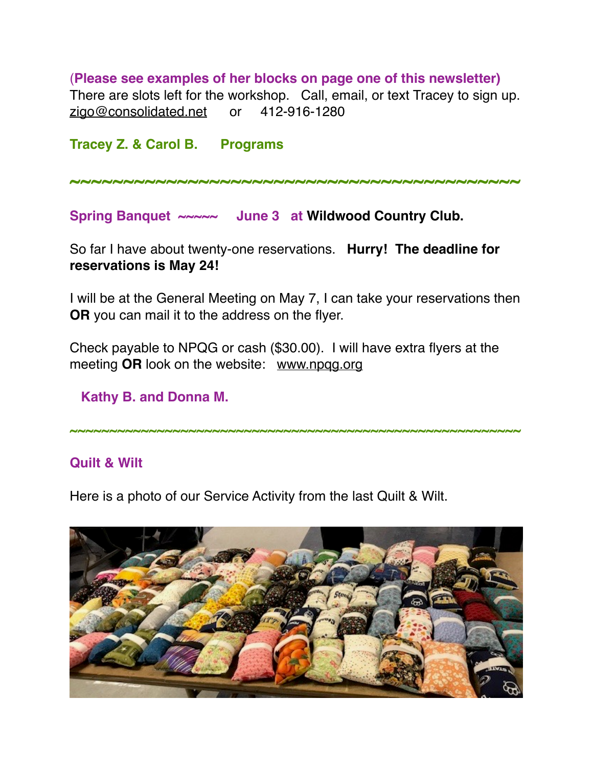(**Please see examples of her blocks on page one of this newsletter)** There are slots left for the workshop. Call, email, or text Tracey to sign up. [zigo@consolidated.net](mailto:zigo@consolidated.net) or 412-916-1280

**Tracey Z. & Carol B. Programs**

**~~~~~~~~~~~~~~~~~~~~~~~~~~~~~~~~~~~~~~~~~~**

Spring Banquet ~~~~~ June 3 at Wildwood Country Club.

So far I have about twenty-one reservations. **Hurry! The deadline for reservations is May 24!**

I will be at the General Meeting on May 7, I can take your reservations then **OR** you can mail it to the address on the flyer.

Check payable to NPQG or cash (\$30.00). I will have extra flyers at the meeting **OR** look on the website: [www.npqg.org](http://www.npqg.org)

 **Kathy B. and Donna M.**

**~~~~~~~~~~~~~~~~~~~~~~~~~~~~~~~~~~~~~~~~~~~~~~~~~~~~~~~~~**

### **Quilt & Wilt**

Here is a photo of our Service Activity from the last Quilt & Wilt.